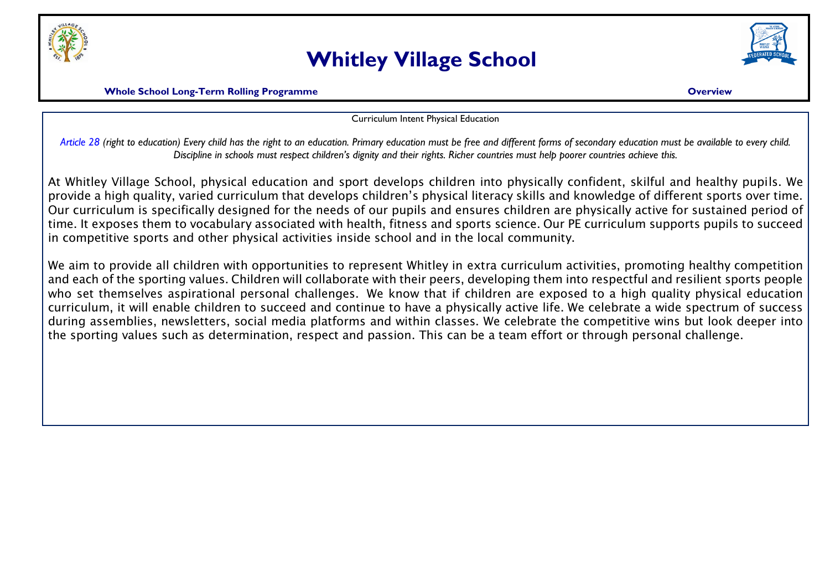

## **Whitley Village School**



**Whole School Long-Term Rolling Programme Overview**

Curriculum Intent Physical Education

*Article 28 (right to education) Every child has the right to an education. Primary education must be free and different forms of secondary education must be available to every child. Discipline in schools must respect children's dignity and their rights. Richer countries must help poorer countries achieve this.*

At Whitley Village School, physical education and sport develops children into physically confident, skilful and healthy pupils. We provide a high quality, varied curriculum that develops children's physical literacy skills and knowledge of different sports over time. Our curriculum is specifically designed for the needs of our pupils and ensures children are physically active for sustained period of time. It exposes them to vocabulary associated with health, fitness and sports science. Our PE curriculum supports pupils to succeed in competitive sports and other physical activities inside school and in the local community.

We aim to provide all children with opportunities to represent Whitley in extra curriculum activities, promoting healthy competition and each of the sporting values. Children will collaborate with their peers, developing them into respectful and resilient sports people who set themselves aspirational personal challenges. We know that if children are exposed to a high quality physical education curriculum, it will enable children to succeed and continue to have a physically active life. We celebrate a wide spectrum of success during assemblies, newsletters, social media platforms and within classes. We celebrate the competitive wins but look deeper into the sporting values such as determination, respect and passion. This can be a team effort or through personal challenge.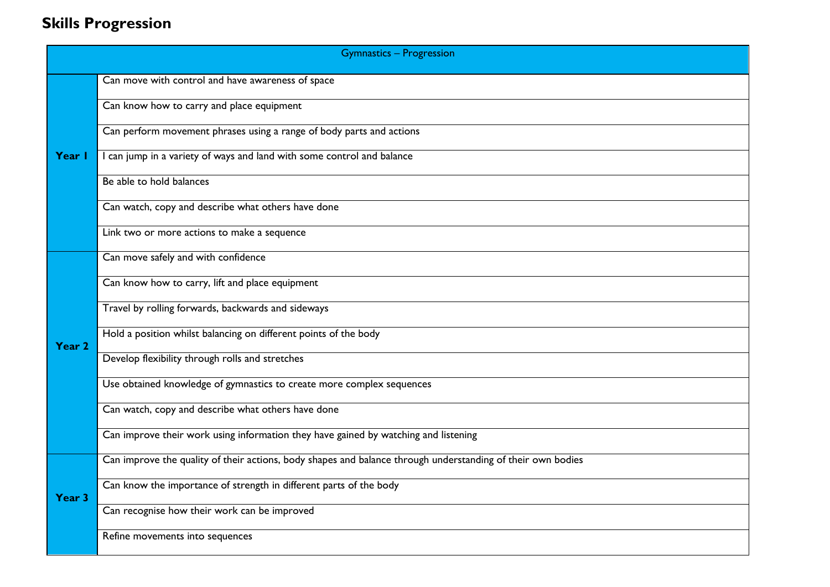## **Skills Progression**

| <b>Gymnastics - Progression</b> |                                                                                                             |  |
|---------------------------------|-------------------------------------------------------------------------------------------------------------|--|
| Year I                          | Can move with control and have awareness of space                                                           |  |
|                                 | Can know how to carry and place equipment                                                                   |  |
|                                 | Can perform movement phrases using a range of body parts and actions                                        |  |
|                                 | I can jump in a variety of ways and land with some control and balance                                      |  |
|                                 | Be able to hold balances                                                                                    |  |
|                                 | Can watch, copy and describe what others have done                                                          |  |
|                                 | Link two or more actions to make a sequence                                                                 |  |
|                                 | Can move safely and with confidence                                                                         |  |
|                                 | Can know how to carry, lift and place equipment                                                             |  |
|                                 | Travel by rolling forwards, backwards and sideways                                                          |  |
| Year 2                          | Hold a position whilst balancing on different points of the body                                            |  |
|                                 | Develop flexibility through rolls and stretches                                                             |  |
|                                 | Use obtained knowledge of gymnastics to create more complex sequences                                       |  |
|                                 | Can watch, copy and describe what others have done                                                          |  |
|                                 | Can improve their work using information they have gained by watching and listening                         |  |
| Year <sub>3</sub>               | Can improve the quality of their actions, body shapes and balance through understanding of their own bodies |  |
|                                 | Can know the importance of strength in different parts of the body                                          |  |
|                                 | Can recognise how their work can be improved                                                                |  |
|                                 | Refine movements into sequences                                                                             |  |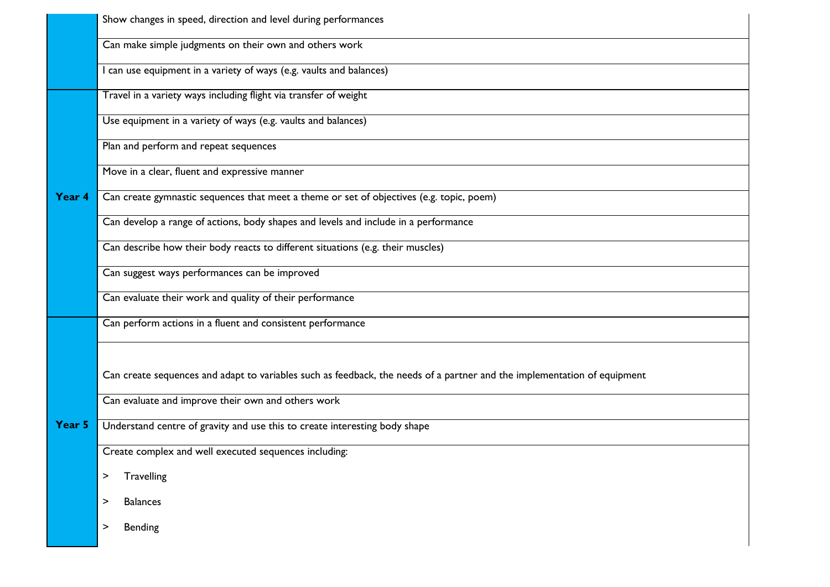|        | Show changes in speed, direction and level during performances                                                           |  |  |
|--------|--------------------------------------------------------------------------------------------------------------------------|--|--|
|        | Can make simple judgments on their own and others work                                                                   |  |  |
|        | I can use equipment in a variety of ways (e.g. vaults and balances)                                                      |  |  |
|        | Travel in a variety ways including flight via transfer of weight                                                         |  |  |
|        | Use equipment in a variety of ways (e.g. vaults and balances)                                                            |  |  |
|        | Plan and perform and repeat sequences                                                                                    |  |  |
|        | Move in a clear, fluent and expressive manner                                                                            |  |  |
| Year 4 | Can create gymnastic sequences that meet a theme or set of objectives (e.g. topic, poem)                                 |  |  |
|        | Can develop a range of actions, body shapes and levels and include in a performance                                      |  |  |
|        | Can describe how their body reacts to different situations (e.g. their muscles)                                          |  |  |
|        | Can suggest ways performances can be improved                                                                            |  |  |
|        | Can evaluate their work and quality of their performance                                                                 |  |  |
|        | Can perform actions in a fluent and consistent performance                                                               |  |  |
|        |                                                                                                                          |  |  |
| Year 5 | Can create sequences and adapt to variables such as feedback, the needs of a partner and the implementation of equipment |  |  |
|        | Can evaluate and improve their own and others work                                                                       |  |  |
|        | Understand centre of gravity and use this to create interesting body shape                                               |  |  |
|        | Create complex and well executed sequences including:                                                                    |  |  |
|        | Travelling<br>>                                                                                                          |  |  |
|        | <b>Balances</b><br>>                                                                                                     |  |  |
|        | Bending<br>>                                                                                                             |  |  |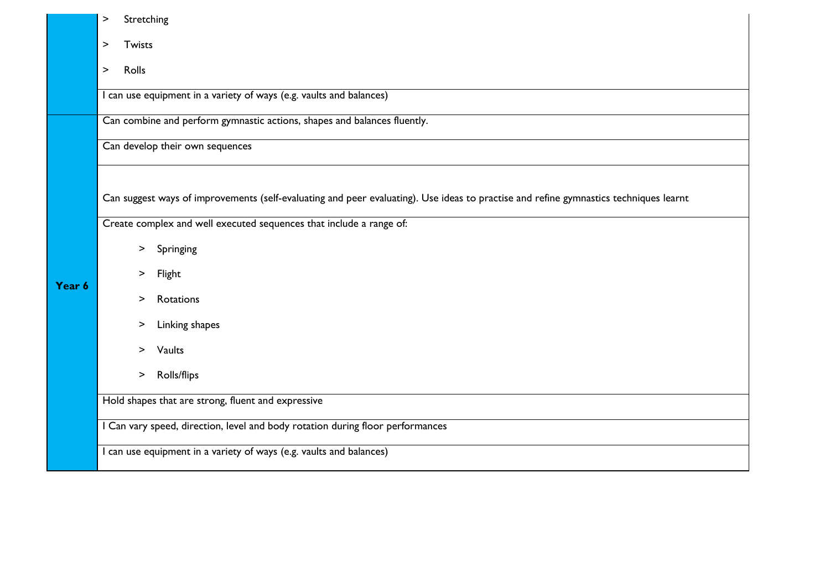|                 | Stretching<br>>                                                                                                                       |  |  |
|-----------------|---------------------------------------------------------------------------------------------------------------------------------------|--|--|
|                 | Twists<br>$\geq$                                                                                                                      |  |  |
| Rolls<br>$\geq$ |                                                                                                                                       |  |  |
|                 | I can use equipment in a variety of ways (e.g. vaults and balances)                                                                   |  |  |
|                 | Can combine and perform gymnastic actions, shapes and balances fluently.                                                              |  |  |
|                 | Can develop their own sequences                                                                                                       |  |  |
|                 |                                                                                                                                       |  |  |
|                 | Can suggest ways of improvements (self-evaluating and peer evaluating). Use ideas to practise and refine gymnastics techniques learnt |  |  |
|                 | Create complex and well executed sequences that include a range of:                                                                   |  |  |
|                 | Springing<br>$\geq$                                                                                                                   |  |  |
| Year 6          | Flight<br>$\geq$                                                                                                                      |  |  |
|                 | Rotations<br>$\, > \,$                                                                                                                |  |  |
|                 | Linking shapes<br>$\, > \,$                                                                                                           |  |  |
|                 | Vaults<br>$\geq$                                                                                                                      |  |  |
|                 | <b>Rolls/flips</b><br>$\, > \,$                                                                                                       |  |  |
|                 | Hold shapes that are strong, fluent and expressive                                                                                    |  |  |
|                 | I Can vary speed, direction, level and body rotation during floor performances                                                        |  |  |
|                 | I can use equipment in a variety of ways (e.g. vaults and balances)                                                                   |  |  |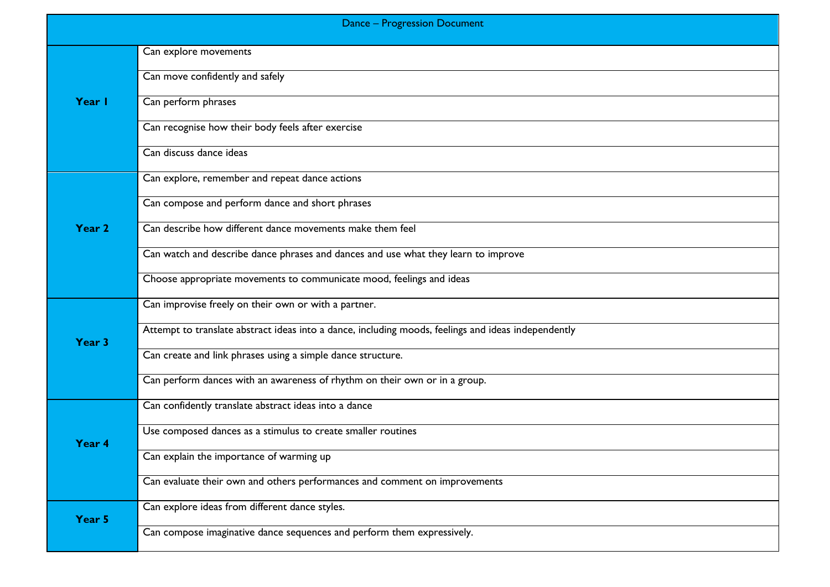|        | <b>Dance - Progression Document</b>                                                                 |
|--------|-----------------------------------------------------------------------------------------------------|
|        | Can explore movements                                                                               |
|        | Can move confidently and safely                                                                     |
| Year I | Can perform phrases                                                                                 |
|        | Can recognise how their body feels after exercise                                                   |
|        | Can discuss dance ideas                                                                             |
|        | Can explore, remember and repeat dance actions                                                      |
|        | Can compose and perform dance and short phrases                                                     |
| Year 2 | Can describe how different dance movements make them feel                                           |
|        | Can watch and describe dance phrases and dances and use what they learn to improve                  |
|        | Choose appropriate movements to communicate mood, feelings and ideas                                |
|        | Can improvise freely on their own or with a partner.                                                |
| Year 3 | Attempt to translate abstract ideas into a dance, including moods, feelings and ideas independently |
|        | Can create and link phrases using a simple dance structure.                                         |
|        | Can perform dances with an awareness of rhythm on their own or in a group.                          |
|        | Can confidently translate abstract ideas into a dance                                               |
| Year 4 | Use composed dances as a stimulus to create smaller routines                                        |
|        | Can explain the importance of warming up                                                            |
|        | Can evaluate their own and others performances and comment on improvements                          |
| Year 5 | Can explore ideas from different dance styles.                                                      |
|        | Can compose imaginative dance sequences and perform them expressively.                              |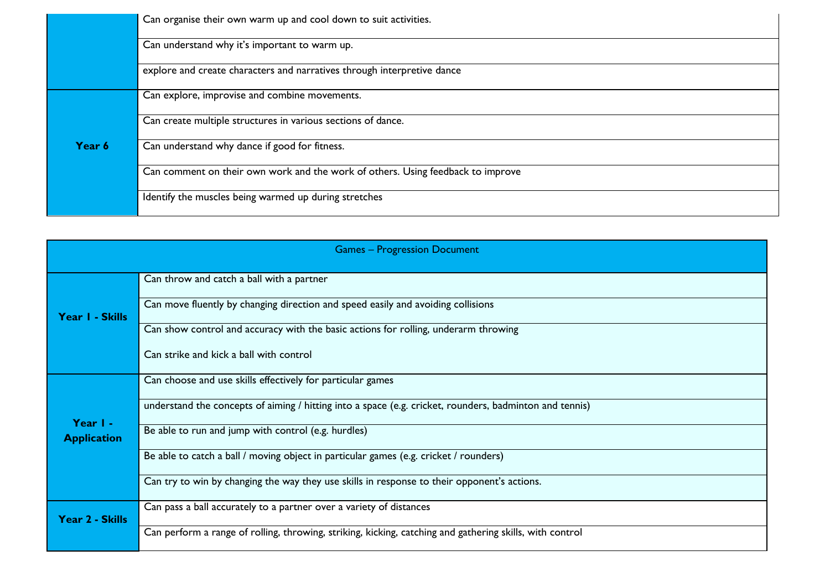|                                                                         | Can organise their own warm up and cool down to suit activities.                |  |  |
|-------------------------------------------------------------------------|---------------------------------------------------------------------------------|--|--|
|                                                                         | Can understand why it's important to warm up.                                   |  |  |
| explore and create characters and narratives through interpretive dance |                                                                                 |  |  |
|                                                                         | Can explore, improvise and combine movements.                                   |  |  |
|                                                                         | Can create multiple structures in various sections of dance.                    |  |  |
| Year 6                                                                  | Can understand why dance if good for fitness.                                   |  |  |
|                                                                         | Can comment on their own work and the work of others. Using feedback to improve |  |  |
|                                                                         | Identify the muscles being warmed up during stretches                           |  |  |

| <b>Games - Progression Document</b> |                                                                                                          |  |
|-------------------------------------|----------------------------------------------------------------------------------------------------------|--|
|                                     | Can throw and catch a ball with a partner                                                                |  |
| Year I - Skills                     | Can move fluently by changing direction and speed easily and avoiding collisions                         |  |
|                                     | Can show control and accuracy with the basic actions for rolling, underarm throwing                      |  |
|                                     | Can strike and kick a ball with control                                                                  |  |
|                                     | Can choose and use skills effectively for particular games                                               |  |
| Year I -                            | understand the concepts of aiming / hitting into a space (e.g. cricket, rounders, badminton and tennis)  |  |
| <b>Application</b>                  | Be able to run and jump with control (e.g. hurdles)                                                      |  |
|                                     | Be able to catch a ball / moving object in particular games (e.g. cricket / rounders)                    |  |
|                                     | Can try to win by changing the way they use skills in response to their opponent's actions.              |  |
| Year 2 - Skills                     | Can pass a ball accurately to a partner over a variety of distances                                      |  |
|                                     | Can perform a range of rolling, throwing, striking, kicking, catching and gathering skills, with control |  |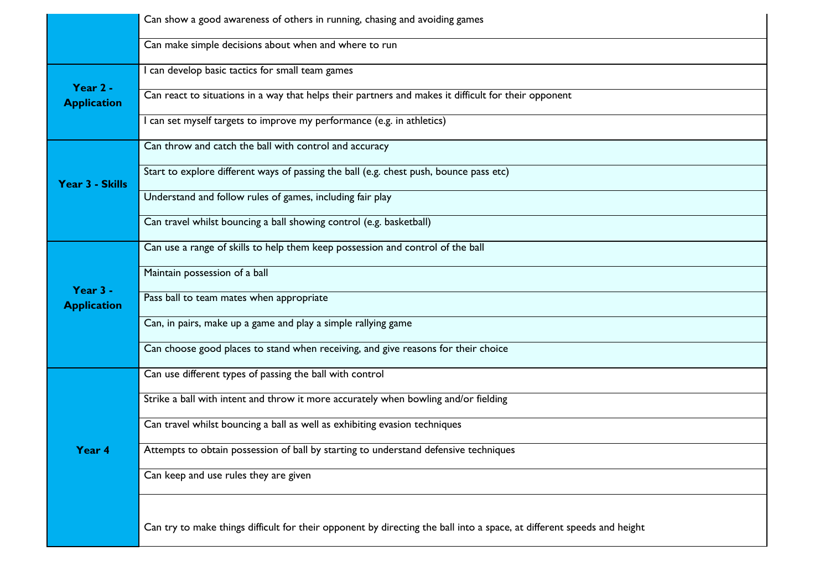|                                | Can show a good awareness of others in running, chasing and avoiding games                                             |  |  |
|--------------------------------|------------------------------------------------------------------------------------------------------------------------|--|--|
|                                | Can make simple decisions about when and where to run                                                                  |  |  |
|                                | I can develop basic tactics for small team games                                                                       |  |  |
| Year 2 -<br><b>Application</b> | Can react to situations in a way that helps their partners and makes it difficult for their opponent                   |  |  |
|                                | I can set myself targets to improve my performance (e.g. in athletics)                                                 |  |  |
|                                | Can throw and catch the ball with control and accuracy                                                                 |  |  |
| Year 3 - Skills                | Start to explore different ways of passing the ball (e.g. chest push, bounce pass etc)                                 |  |  |
|                                | Understand and follow rules of games, including fair play                                                              |  |  |
|                                | Can travel whilst bouncing a ball showing control (e.g. basketball)                                                    |  |  |
|                                | Can use a range of skills to help them keep possession and control of the ball                                         |  |  |
|                                | Maintain possession of a ball                                                                                          |  |  |
| Year 3 -<br><b>Application</b> | Pass ball to team mates when appropriate                                                                               |  |  |
|                                | Can, in pairs, make up a game and play a simple rallying game                                                          |  |  |
|                                | Can choose good places to stand when receiving, and give reasons for their choice                                      |  |  |
|                                | Can use different types of passing the ball with control                                                               |  |  |
|                                | Strike a ball with intent and throw it more accurately when bowling and/or fielding                                    |  |  |
|                                | Can travel whilst bouncing a ball as well as exhibiting evasion techniques                                             |  |  |
| Year 4                         | Attempts to obtain possession of ball by starting to understand defensive techniques                                   |  |  |
|                                | Can keep and use rules they are given                                                                                  |  |  |
|                                |                                                                                                                        |  |  |
|                                | Can try to make things difficult for their opponent by directing the ball into a space, at different speeds and height |  |  |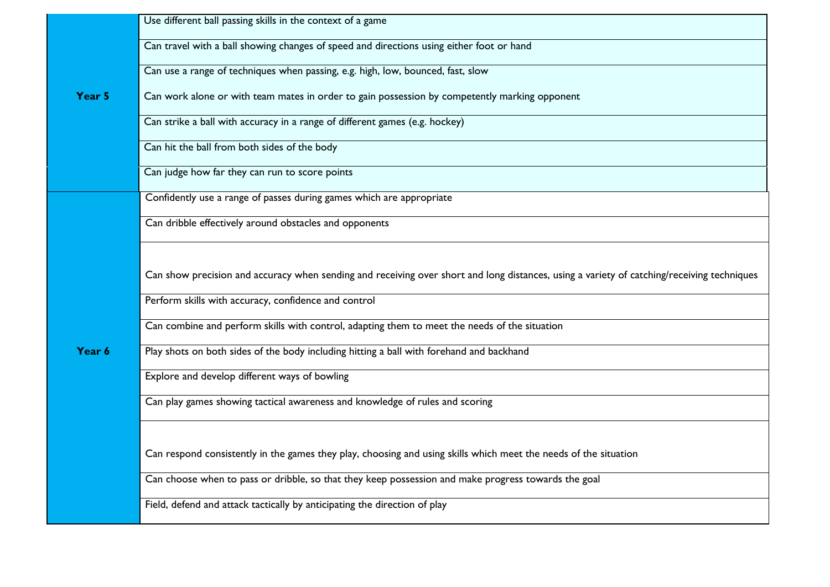|        | Use different ball passing skills in the context of a game                                                                                 |
|--------|--------------------------------------------------------------------------------------------------------------------------------------------|
|        | Can travel with a ball showing changes of speed and directions using either foot or hand                                                   |
|        | Can use a range of techniques when passing, e.g. high, low, bounced, fast, slow                                                            |
| Year 5 | Can work alone or with team mates in order to gain possession by competently marking opponent                                              |
|        | Can strike a ball with accuracy in a range of different games (e.g. hockey)                                                                |
|        | Can hit the ball from both sides of the body                                                                                               |
|        | Can judge how far they can run to score points                                                                                             |
|        | Confidently use a range of passes during games which are appropriate                                                                       |
|        | Can dribble effectively around obstacles and opponents                                                                                     |
|        |                                                                                                                                            |
|        | Can show precision and accuracy when sending and receiving over short and long distances, using a variety of catching/receiving techniques |
|        | Perform skills with accuracy, confidence and control                                                                                       |
|        | Can combine and perform skills with control, adapting them to meet the needs of the situation                                              |
| Year 6 | Play shots on both sides of the body including hitting a ball with forehand and backhand                                                   |
|        | Explore and develop different ways of bowling                                                                                              |
|        | Can play games showing tactical awareness and knowledge of rules and scoring                                                               |
|        |                                                                                                                                            |
|        | Can respond consistently in the games they play, choosing and using skills which meet the needs of the situation                           |
|        | Can choose when to pass or dribble, so that they keep possession and make progress towards the goal                                        |
|        | Field, defend and attack tactically by anticipating the direction of play                                                                  |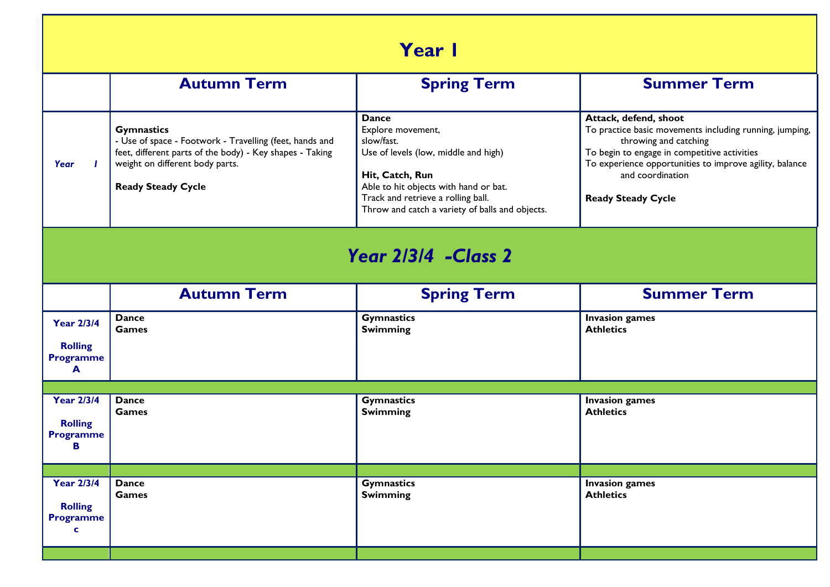| <b>Year I</b>                                                       |                                                                                                                                                                                                          |                                                                                                                                                                                                                                              |                                                                                                                                                                                                                                                                       |
|---------------------------------------------------------------------|----------------------------------------------------------------------------------------------------------------------------------------------------------------------------------------------------------|----------------------------------------------------------------------------------------------------------------------------------------------------------------------------------------------------------------------------------------------|-----------------------------------------------------------------------------------------------------------------------------------------------------------------------------------------------------------------------------------------------------------------------|
|                                                                     | <b>Autumn Term</b>                                                                                                                                                                                       | <b>Spring Term</b>                                                                                                                                                                                                                           | <b>Summer Term</b>                                                                                                                                                                                                                                                    |
| Year                                                                | <b>Gymnastics</b><br>- Use of space - Footwork - Travelling (feet, hands and<br>feet, different parts of the body) - Key shapes - Taking<br>weight on different body parts.<br><b>Ready Steady Cycle</b> | <b>Dance</b><br>Explore movement,<br>slow/fast.<br>Use of levels (low, middle and high)<br>Hit, Catch, Run<br>Able to hit objects with hand or bat.<br>Track and retrieve a rolling ball.<br>Throw and catch a variety of balls and objects. | Attack, defend, shoot<br>To practice basic movements including running, jumping,<br>throwing and catching<br>To begin to engage in competitive activities<br>To experience opportunities to improve agility, balance<br>and coordination<br><b>Ready Steady Cycle</b> |
| Year 2/3/4 - Class 2                                                |                                                                                                                                                                                                          |                                                                                                                                                                                                                                              |                                                                                                                                                                                                                                                                       |
|                                                                     | <b>Autumn Term</b>                                                                                                                                                                                       | <b>Spring Term</b>                                                                                                                                                                                                                           | <b>Summer Term</b>                                                                                                                                                                                                                                                    |
| <b>Year 2/3/4</b><br><b>Rolling</b><br><b>Programme</b><br>A        | <b>Dance</b><br><b>Games</b>                                                                                                                                                                             | <b>Gymnastics</b><br><b>Swimming</b>                                                                                                                                                                                                         | <b>Invasion games</b><br><b>Athletics</b>                                                                                                                                                                                                                             |
|                                                                     |                                                                                                                                                                                                          |                                                                                                                                                                                                                                              |                                                                                                                                                                                                                                                                       |
| <b>Year 2/3/4</b><br><b>Rolling</b><br><b>Programme</b><br>В        | <b>Dance</b><br><b>Games</b>                                                                                                                                                                             | <b>Gymnastics</b><br><b>Swimming</b>                                                                                                                                                                                                         | <b>Invasion games</b><br><b>Athletics</b>                                                                                                                                                                                                                             |
|                                                                     |                                                                                                                                                                                                          |                                                                                                                                                                                                                                              |                                                                                                                                                                                                                                                                       |
| <b>Year 2/3/4</b><br><b>Rolling</b><br><b>Programme</b><br><b>C</b> | <b>Dance</b><br><b>Games</b>                                                                                                                                                                             | <b>Gymnastics</b><br><b>Swimming</b>                                                                                                                                                                                                         | <b>Invasion games</b><br><b>Athletics</b>                                                                                                                                                                                                                             |